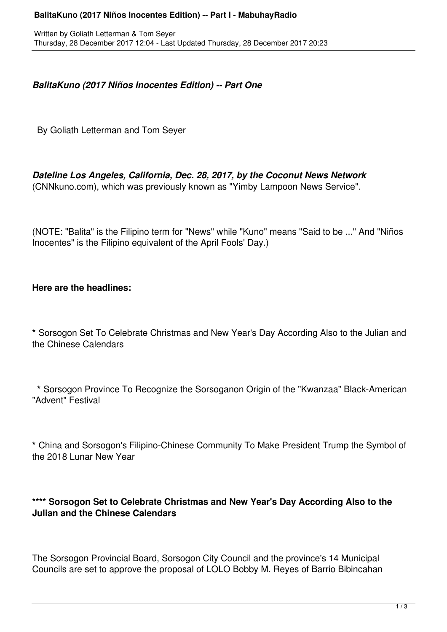#### **BalitaKuno (2017 Niños Inocentes Edition) -- Part I - MabuhayRadio**

## *BalitaKuno (2017 Niños Inocentes Edition) -- Part One*

By Goliath Letterman and Tom Seyer

# *Dateline Los Angeles, California, Dec. 28, 2017, by the Coconut News Network*

(CNNkuno.com), which was previously known as "Yimby Lampoon News Service".

(NOTE: "Balita" is the Filipino term for "News" while "Kuno" means "Said to be ..." And "Niños Inocentes" is the Filipino equivalent of the April Fools' Day.)

### **Here are the headlines:**

**\*** Sorsogon Set To Celebrate Christmas and New Year's Day According Also to the Julian and the Chinese Calendars

 **\*** Sorsogon Province To Recognize the Sorsoganon Origin of the "Kwanzaa" Black-American "Advent" Festival

**\*** China and Sorsogon's Filipino-Chinese Community To Make President Trump the Symbol of the 2018 Lunar New Year

### **\*\*\*\* Sorsogon Set to Celebrate Christmas and New Year's Day According Also to the Julian and the Chinese Calendars**

The Sorsogon Provincial Board, Sorsogon City Council and the province's 14 Municipal Councils are set to approve the proposal of LOLO Bobby M. Reyes of Barrio Bibincahan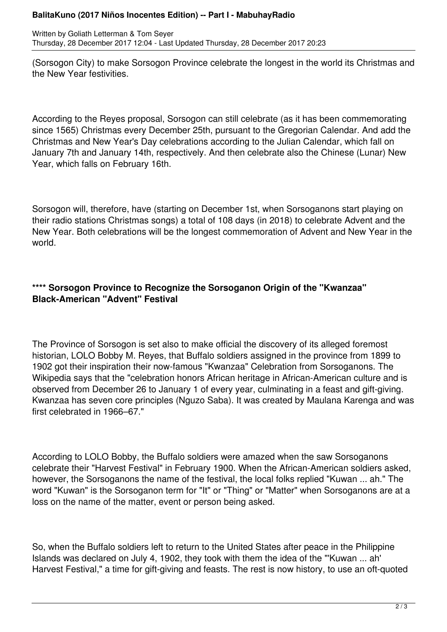#### **BalitaKuno (2017 Niños Inocentes Edition) -- Part I - MabuhayRadio**

Written by Goliath Letterman & Tom Seyer Thursday, 28 December 2017 12:04 - Last Updated Thursday, 28 December 2017 20:23

(Sorsogon City) to make Sorsogon Province celebrate the longest in the world its Christmas and the New Year festivities.

According to the Reyes proposal, Sorsogon can still celebrate (as it has been commemorating since 1565) Christmas every December 25th, pursuant to the Gregorian Calendar. And add the Christmas and New Year's Day celebrations according to the Julian Calendar, which fall on January 7th and January 14th, respectively. And then celebrate also the Chinese (Lunar) New Year, which falls on February 16th.

Sorsogon will, therefore, have (starting on December 1st, when Sorsoganons start playing on their radio stations Christmas songs) a total of 108 days (in 2018) to celebrate Advent and the New Year. Both celebrations will be the longest commemoration of Advent and New Year in the world.

## **\*\*\*\* Sorsogon Province to Recognize the Sorsoganon Origin of the "Kwanzaa" Black-American "Advent" Festival**

The Province of Sorsogon is set also to make official the discovery of its alleged foremost historian, LOLO Bobby M. Reyes, that Buffalo soldiers assigned in the province from 1899 to 1902 got their inspiration their now-famous "Kwanzaa" Celebration from Sorsoganons. The Wikipedia says that the "celebration honors African heritage in African-American culture and is observed from December 26 to January 1 of every year, culminating in a feast and gift-giving. Kwanzaa has seven core principles (Nguzo Saba). It was created by Maulana Karenga and was first celebrated in 1966–67."

According to LOLO Bobby, the Buffalo soldiers were amazed when the saw Sorsoganons celebrate their "Harvest Festival" in February 1900. When the African-American soldiers asked, however, the Sorsoganons the name of the festival, the local folks replied "Kuwan ... ah." The word "Kuwan" is the Sorsoganon term for "It" or "Thing" or "Matter" when Sorsoganons are at a loss on the name of the matter, event or person being asked.

So, when the Buffalo soldiers left to return to the United States after peace in the Philippine Islands was declared on July 4, 1902, they took with them the idea of the "'Kuwan ... ah' Harvest Festival," a time for gift-giving and feasts. The rest is now history, to use an oft-quoted